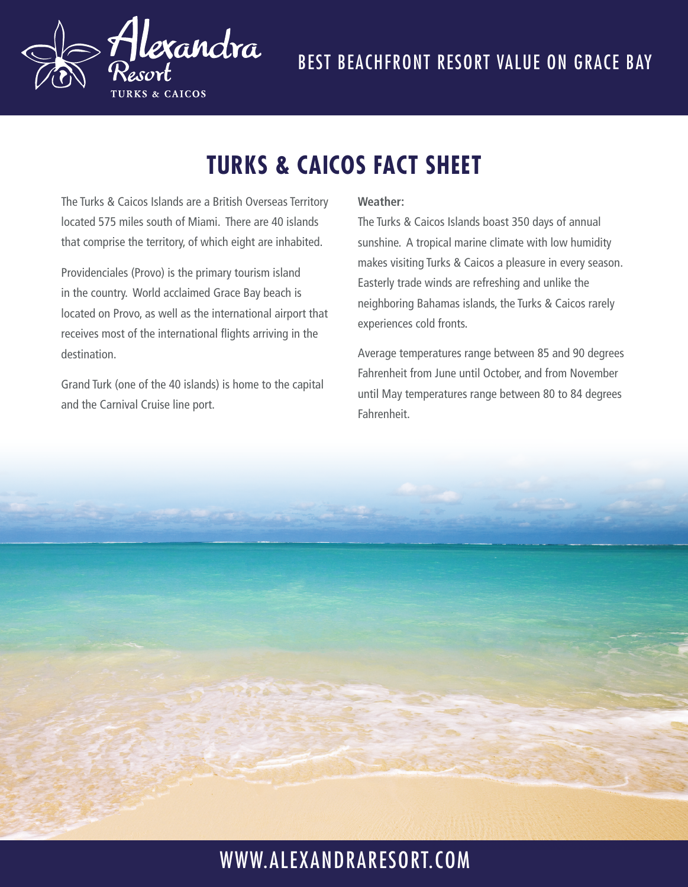

# **TURKS & CAICOS FACT SHEET**

The Turks & Caicos Islands are a British Overseas Territory located 575 miles south of Miami. There are 40 islands that comprise the territory, of which eight are inhabited.

Providenciales (Provo) is the primary tourism island in the country. World acclaimed Grace Bay beach is located on Provo, as well as the international airport that receives most of the international flights arriving in the destination.

Grand Turk (one of the 40 islands) is home to the capital and the Carnival Cruise line port.

#### **Weather:**

The Turks & Caicos Islands boast 350 days of annual sunshine. A tropical marine climate with low humidity makes visiting Turks & Caicos a pleasure in every season. Easterly trade winds are refreshing and unlike the neighboring Bahamas islands, the Turks & Caicos rarely experiences cold fronts.

Average temperatures range between 85 and 90 degrees Fahrenheit from June until October, and from November until May temperatures range between 80 to 84 degrees Fahrenheit.



## WWW.ALEXANDRARESORT.COM